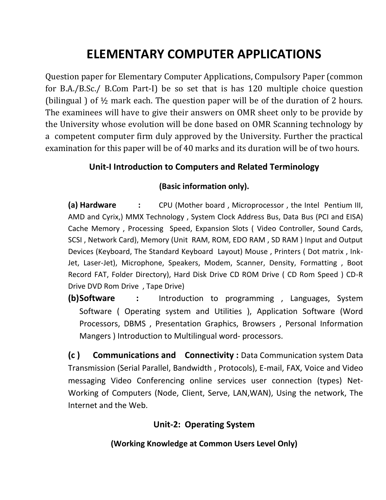# **ELEMENTARY COMPUTER APPLICATIONS**

Question paper for Elementary Computer Applications, Compulsory Paper (common for B.A./B.Sc./ B.Com Part-I) be so set that is has 120 multiple choice question (bilingual ) of ½ mark each. The question paper will be of the duration of 2 hours. The examinees will have to give their answers on OMR sheet only to be provide by the University whose evolution will be done based on OMR Scanning technology by a competent computer firm duly approved by the University. Further the practical examination for this paper will be of 40 marks and its duration will be of two hours.

#### **Unit-I Introduction to Computers and Related Terminology**

#### **(Basic information only).**

**(a) Hardware :** CPU (Mother board , Microprocessor , the Intel Pentium III, AMD and Cyrix,) MMX Technology , System Clock Address Bus, Data Bus (PCI and EISA) Cache Memory , Processing Speed, Expansion Slots ( Video Controller, Sound Cards, SCSI , Network Card), Memory (Unit RAM, ROM, EDO RAM , SD RAM ) Input and Output Devices (Keyboard, The Standard Keyboard Layout) Mouse , Printers ( Dot matrix , Ink-Jet, Laser-Jet), Microphone, Speakers, Modem, Scanner, Density, Formatting , Boot Record FAT, Folder Directory), Hard Disk Drive CD ROM Drive ( CD Rom Speed ) CD-R Drive DVD Rom Drive , Tape Drive)

**(b)Software :** Introduction to programming , Languages, System Software ( Operating system and Utilities ), Application Software (Word Processors, DBMS , Presentation Graphics, Browsers , Personal Information Mangers ) Introduction to Multilingual word- processors.

**(c ) Communications and Connectivity :** Data Communication system Data Transmission (Serial Parallel, Bandwidth , Protocols), E-mail, FAX, Voice and Video messaging Video Conferencing online services user connection (types) Net-Working of Computers (Node, Client, Serve, LAN,WAN), Using the network, The Internet and the Web.

#### **Unit-2: Operating System**

**(Working Knowledge at Common Users Level Only)**